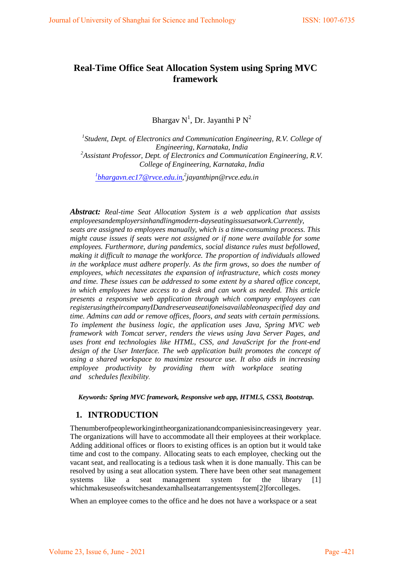# **Real-Time Office Seat Allocation System using Spring MVC framework**

Bhargav  $N^1$ , Dr. Jayanthi P $N^2$ 

<sup>1</sup> Student, Dept. of Electronics and Communication Engineering, R.V. College of *Engineering, Karnataka, India 2 Assistant Professor, Dept. of Electronics and Communication Engineering, R.V. College of Engineering, Karnataka, India*

*1 [bhargavn.ec17@rvce.edu.in,](mailto:bhargavn.ec17@rvce.edu.in) 2 [jayanthipn@rvce.edu.in](mailto:jayanthipn@rvce.edu.in)*

*Abstract: Real-time Seat Allocation System is a web application that assists employeesandemployersinhandlingmodern-dayseatingissuesatwork.Currently, seats are assigned to employees manually, which is a time-consuming process. This might cause issues if seats were not assigned or if none were available for some employees. Furthermore, during pandemics, social distance rules must befollowed, making it difficult to manage the workforce. The proportion of individuals allowed in the workplace must adhere properly. As the firm grows, so does the number of employees, which necessitates the expansion of infrastructure, which costs money and time. These issues can be addressed to some extent by a shared office concept, in which employees have access to a desk and can work as needed. This article presents a responsive web application through which company employees can registerusingtheircompanyIDandreserveaseatifoneisavailableonaspecified day and time. Admins can add or remove offices, floors, and seats with certain permissions. To implement the business logic, the application uses Java, Spring MVC web framework with Tomcat server, renders the views using Java Server Pages, and uses front end technologies like HTML, CSS, and JavaScript for the front-end design of the User Interface. The web application built promotes the concept of using a shared workspace to maximize resource use. It also aids in increasing employee productivity by providing them with workplace seating and schedules flexibility.*

*Keywords: Spring MVC framework, Responsive web app, HTML5, CSS3, Bootstrap.*

## **1. INTRODUCTION**

Thenumberofpeopleworkingintheorganizationandcompaniesisincreasingevery year. The organizations will have to accommodate all their employees at their workplace. Adding additional offices or floors to existing offices is an option but it would take time and cost to the company. Allocating seats to each employee, checking out the vacant seat, and reallocating is a tedious task when it is done manually. This can be resolved by using a seat allocation system. There have been other seat management systems like a seat management system for the library [1] whichmakesuseofswitchesandexamhallseatarrangementsystem[2]forcolleges.

When an employee comes to the office and he does not have a workspace or a seat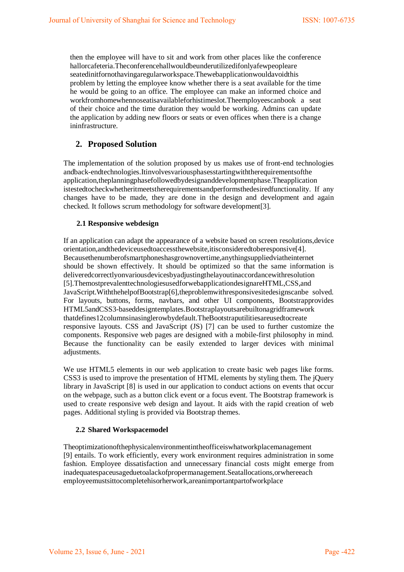then the employee will have to sit and work from other places like the conference hallorcafeteria.Theconferencehallwouldbeunderutilizedifonlyafewpeopleare seatedinitfornothavingaregularworkspace.Thewebapplicationwouldavoidthis problem by letting the employee know whether there is a seat available for the time he would be going to an office. The employee can make an informed choice and workfromhomewhennoseatisavailableforhistimeslot.Theemployeescanbook a seat of their choice and the time duration they would be working. Admins can update the application by adding new floors or seats or even offices when there is a change ininfrastructure.

## **2. Proposed Solution**

The implementation of the solution proposed by us makes use of front-end technologies andback-endtechnologies.Itinvolvesvariousphasesstartingwiththerequirementsofthe application,theplanningphasefollowedbydesignanddevelopmentphase.Theapplication istestedtocheckwhetheritmeetstherequirementsandperformsthedesiredfunctionality. If any changes have to be made, they are done in the design and development and again checked. It follows scrum methodology for software development[3].

#### **2.1 Responsive webdesign**

If an application can adapt the appearance of a website based on screen resolutions,device orientation,andthedeviceusedtoaccessthewebsite,itisconsideredtoberesponsive[4]. Becausethenumberofsmartphoneshasgrownovertime,anythingsuppliedviatheinternet should be shown effectively. It should be optimized so that the same information is deliveredcorrectlyonvariousdevicesbyadjustingthelayoutinaccordancewithresolution [5].ThemostprevalenttechnologiesusedforwebapplicationdesignareHTML,CSS,and JavaScript.WiththehelpofBootstrap[6],theproblemwithresponsivesitedesignscanbe solved. For layouts, buttons, forms, navbars, and other UI components, Bootstrapprovides HTML5andCSS3-baseddesigntemplates.Bootstraplayoutsarebuiltonagridframework thatdefines12columnsinasinglerowbydefault.TheBootstraputilitiesareusedtocreate responsive layouts. CSS and JavaScript (JS) [7] can be used to further customize the components. Responsive web pages are designed with a mobile-first philosophy in mind. Because the functionality can be easily extended to larger devices with minimal adjustments.

We use HTML5 elements in our web application to create basic web pages like forms. CSS3 is used to improve the presentation of HTML elements by styling them. The jQuery library in JavaScript [8] is used in our application to conduct actions on events that occur on the webpage, such as a button click event or a focus event. The Bootstrap framework is used to create responsive web design and layout. It aids with the rapid creation of web pages. Additional styling is provided via Bootstrap themes.

#### **2.2 Shared Workspacemodel**

Theoptimizationofthephysicalenvironmentintheofficeiswhatworkplacemanagement [9] entails. To work efficiently, every work environment requires administration in some fashion. Employee dissatisfaction and unnecessary financial costs might emerge from inadequatespaceusageduetoalackofpropermanagement.Seatallocations,orwhereeach employeemustsittocompletehisorherwork,areanimportantpartofworkplace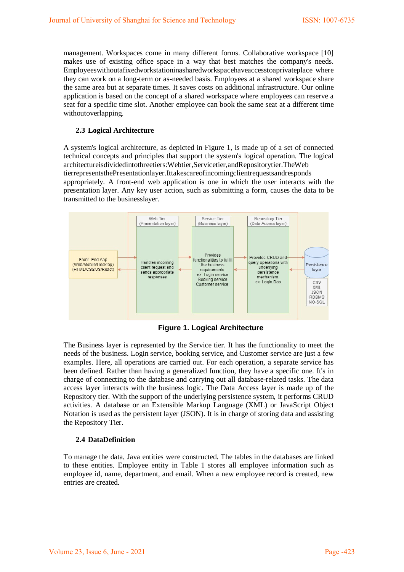management. Workspaces come in many different forms. Collaborative workspace [10] makes use of existing office space in a way that best matches the company's needs. Employeeswithoutafixedworkstationinasharedworkspacehaveaccesstoaprivateplace where they can work on a long-term or as-needed basis. Employees at a shared workspace share the same area but at separate times. It saves costs on additional infrastructure. Our online application is based on the concept of a shared workspace where employees can reserve a seat for a specific time slot. Another employee can book the same seat at a different time withoutoverlapping.

#### **2.3 Logical Architecture**

A system's logical architecture, as depicted in Figure 1, is made up of a set of connected technical concepts and principles that support the system's logical operation. The logical architectureisdividedintothreetiers:Webtier,Servicetier,andRepositorytier.TheWeb tierrepresentsthePresentationlayer.Ittakescareofincomingclientrequestsandresponds appropriately. A front-end web application is one in which the user interacts with the presentation layer. Any key user action, such as submitting a form, causes the data to be transmitted to the businesslayer.



**Figure 1. Logical Architecture**

The Business layer is represented by the Service tier. It has the functionality to meet the needs of the business. Login service, booking service, and Customer service are just a few examples. Here, all operations are carried out. For each operation, a separate service has been defined. Rather than having a generalized function, they have a specific one. It's in charge of connecting to the database and carrying out all database-related tasks. The data access layer interacts with the business logic. The Data Access layer is made up of the Repository tier. With the support of the underlying persistence system, it performs CRUD activities. A database or an Extensible Markup Language (XML) or JavaScript Object Notation is used as the persistent layer (JSON). It is in charge of storing data and assisting the Repository Tier.

### **2.4 DataDefinition**

To manage the data, Java entities were constructed. The tables in the databases are linked to these entities. Employee entity in Table 1 stores all employee information such as employee id, name, department, and email. When a new employee record is created, new entries are created.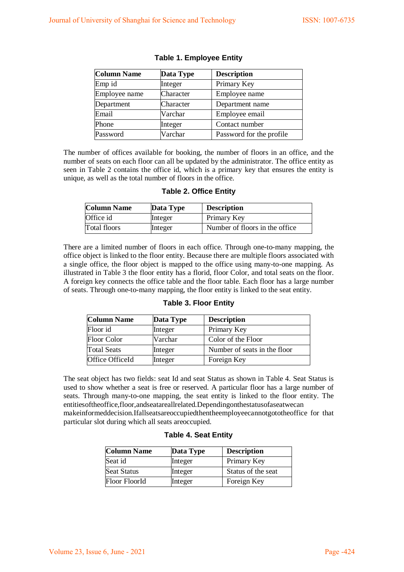| <b>Column Name</b> | Data Type | <b>Description</b>       |
|--------------------|-----------|--------------------------|
| Emp id             | Integer   | Primary Key              |
| Employee name      | Character | Employee name            |
| Department         | Character | Department name          |
| Email              | Varchar   | Employee email           |
| Phone              | Integer   | Contact number           |
| Password           | Varchar   | Password for the profile |

### **Table 1. Employee Entity**

The number of offices available for booking, the number of floors in an office, and the number of seats on each floor can all be updated by the administrator. The office entity as seen in Table 2 contains the office id, which is a primary key that ensures the entity is unique, as well as the total number of floors in the office.

#### **Table 2. Office Entity**

| <b>Column Name</b> | Data Type | <b>Description</b>              |
|--------------------|-----------|---------------------------------|
| Office id          | Integer   | Primary Key                     |
| Total floors       | Integer   | Number of floors in the office. |

There are a limited number of floors in each office. Through one-to-many mapping, the office object is linked to the floor entity. Because there are multiple floors associated with a single office, the floor object is mapped to the office using many-to-one mapping. As illustrated in Table 3 the floor entity has a florid, floor Color, and total seats on the floor. A foreign key connects the office table and the floor table. Each floor has a large number of seats. Through one-to-many mapping, the floor entity is linked to the seat entity.

#### **Table 3. Floor Entity**

| <b>Column Name</b> | Data Type | <b>Description</b>           |
|--------------------|-----------|------------------------------|
| Floor id           | Integer   | Primary Key                  |
| Floor Color        | Varchar   | Color of the Floor           |
| <b>Total Seats</b> | Integer   | Number of seats in the floor |
| Office OfficeId    | Integer   | Foreign Key                  |

The seat object has two fields: seat Id and seat Status as shown in Table 4. Seat Status is used to show whether a seat is free or reserved. A particular floor has a large number of seats. Through many-to-one mapping, the seat entity is linked to the floor entity. The entitiesoftheoffice,floor,andseatareallrelated.Dependingonthestatusofaseatwecan makeinformeddecision.Ifallseatsareoccupiedthentheemployeecannotgototheoffice for that particular slot during which all seats areoccupied.

#### **Table 4. Seat Entity**

| <b>Column Name</b> | Data Type | <b>Description</b> |
|--------------------|-----------|--------------------|
| Seat id            | Integer   | Primary Key        |
| <b>Seat Status</b> | Integer   | Status of the seat |
| Floor FloorId      | Integer   | Foreign Key        |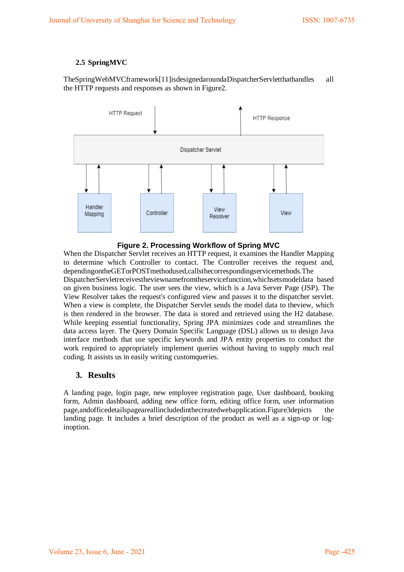### **2.5 SpringMVC**

TheSpringWebMVCframework[11]isdesignedaroundaDispatcherServletthathandles all the HTTP requests and responses as shown in Figure2.



**Figure 2. Processing Workflow of Spring MVC**

When the Dispatcher Servlet receives an HTTP request, it examines the Handler Mapping to determine which Controller to contact. The Controller receives the request and, dependingontheGETorPOSTmethodused,callsthecorrespondingservicemethods.The DispatcherServletreceivestheviewnamefromtheservicefunction,whichsetsmodeldata based on given business logic. The user sees the view, which is a Java Server Page (JSP). The View Resolver takes the request's configured view and passes it to the dispatcher servlet. When a view is complete, the Dispatcher Servlet sends the model data to theview, which is then rendered in the browser. The data is stored and retrieved using the H2 database. While keeping essential functionality, Spring JPA minimizes code and streamlines the data access layer. The Query Domain Specific Language (DSL) allows us to design Java interface methods that use specific keywords and JPA entity properties to conduct the work required to appropriately implement queries without having to supply much real coding. It assists us in easily writing customqueries.

## **3. Results**

A landing page, login page, new employee registration page, User dashboard, booking form, Admin dashboard, adding new office form, editing office form, user information page,andofficedetailspageareallincludedinthecreatedwebapplication.Figure3depicts the landing page. It includes a brief description of the product as well as a sign-up or loginoption.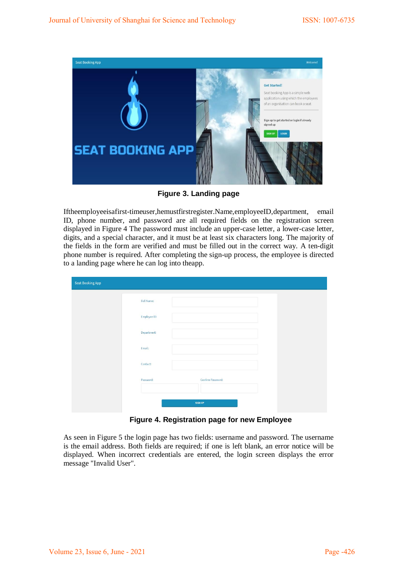

**Figure 3. Landing page**

Iftheemployeeisafirst-timeuser,hemustfirstregister.Name,employeeID,department, email ID, phone number, and password are all required fields on the registration screen displayed in Figure 4 The password must include an upper-case letter, a lower-case letter, digits, and a special character, and it must be at least six characters long. The majority of the fields in the form are verified and must be filled out in the correct way. A ten-digit phone number is required. After completing the sign-up process, the employee is directed to a landing page where he can log into theapp.

| Seat Booking App |                   |                   |  |
|------------------|-------------------|-------------------|--|
|                  | <b>Full Name:</b> |                   |  |
|                  | Employee ID:      |                   |  |
|                  | Department:       |                   |  |
|                  | Email:            |                   |  |
|                  | Contact:          |                   |  |
|                  | Password:         | Confirm Password: |  |
|                  |                   | <b>SIGN UP</b>    |  |

**Figure 4. Registration page for new Employee**

As seen in Figure 5 the login page has two fields: username and password. The username is the email address. Both fields are required; if one is left blank, an error notice will be displayed. When incorrect credentials are entered, the login screen displays the error message "Invalid User".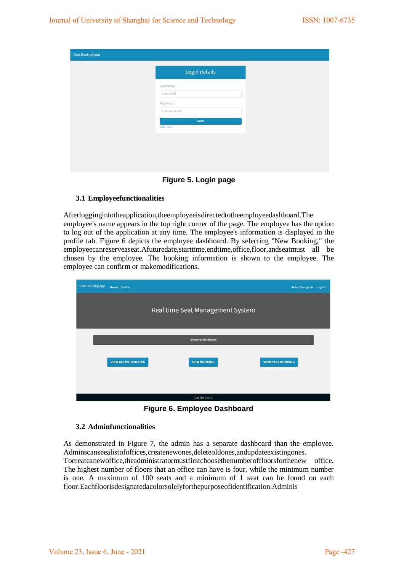| <b>Seat Booking App</b> |                          |
|-------------------------|--------------------------|
|                         | Login details            |
|                         | Username:<br>Enter email |
|                         | Password:                |
|                         | Enter password<br>LOGIN  |
|                         | New User?                |
|                         |                          |
|                         |                          |
|                         |                          |

**Figure 5. Login page**

#### **3.1 Employeefunctionalities**

Afterloggingintotheapplication,theemployeeisdirectedtotheemployeedashboard.The employee's name appears in the top right corner of the page. The employee has the option to log out of the application at any time. The employee's information is displayed in the profile tab. Figure 6 depicts the employee dashboard. By selecting "New Booking," the employeecanreserveaseat.Afuturedate,starttime,endtime,office,floor,andseatmust all be chosen by the employee. The booking information is shown to the employee. The employee can confirm or makemodifications.

| <b>Seat Booking App</b> | <b>Home</b> Profile |                            |                                  | Hello! Bhargav N Logout  |
|-------------------------|---------------------|----------------------------|----------------------------------|--------------------------|
|                         |                     |                            | Real time Seat Management System |                          |
|                         |                     |                            |                                  |                          |
|                         |                     |                            | <b>Employee Dashboard</b>        |                          |
|                         |                     | <b>VIEW ACTIVE BOOKING</b> | <b>NEW BOOKING</b>               | <b>VIEW PAST BOOKING</b> |
|                         |                     |                            |                                  |                          |
|                         |                     |                            | Copyright @ 2021.                |                          |

**Figure 6. Employee Dashboard**

#### **3.2 Adminfunctionalities**

As demonstrated in Figure 7, the admin has a separate dashboard than the employee. Adminscanseealistofoffices,createnewones,deleteoldones,andupdateexistingones. Tocreateanewoffice,theadministratormustfirstchoosethenumberoffloorsforthenew office. The highest number of floors that an office can have is four, while the minimum number is one. A maximum of 100 seats and a minimum of 1 seat can be found on each floor.Eachfloorisdesignatedacolorsolelyforthepurposeofidentification.Adminis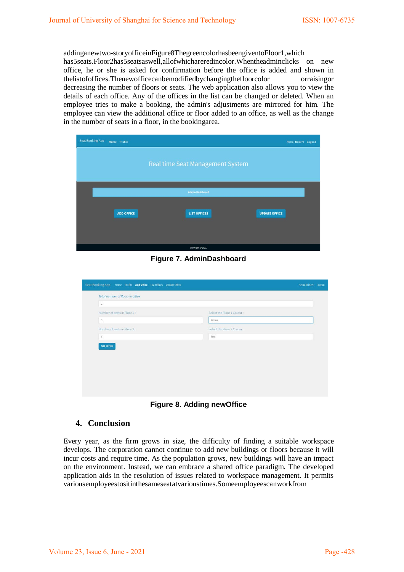addinganewtwo-storyofficeinFigure8ThegreencolorhasbeengiventoFloor1,which has5seats.Floor2has5seatsaswell,allofwhichareredincolor.Whentheadminclicks on new office, he or she is asked for confirmation before the office is added and shown in thelistofoffices.Thenewofficecanbemodifiedbychangingthefloorcolor orraisingor decreasing the number of floors or seats. The web application also allows you to view the details of each office. Any of the offices in the list can be changed or deleted. When an employee tries to make a booking, the admin's adjustments are mirrored for him. The employee can view the additional office or floor added to an office, as well as the change in the number of seats in a floor, in the bookingarea.

| <b>Seat Booking App</b> | Home Profile      |                                  | Hello! Robert Logout |
|-------------------------|-------------------|----------------------------------|----------------------|
|                         |                   | Real time Seat Management System |                      |
|                         |                   | <b>Admin Dashboard</b>           |                      |
|                         | <b>ADD OFFICE</b> | <b>LIST OFFICES</b>              | <b>UPDATE OFFICE</b> |
|                         |                   | Copyright @ 2021.                |                      |

**Figure 7. AdminDashboard**

| Total number of floors in office |                            |
|----------------------------------|----------------------------|
| $\sqrt{2}$                       |                            |
| Number of seats in Floor 1:      | Select the Floor 1 Colour: |
| $5\,$                            | Green                      |
| Number of seats in Floor 2:      | Select the Floor 2 Colour: |
|                                  |                            |
| $\sqrt{5}$<br>ADD OFFICE         | Red                        |
|                                  |                            |
|                                  |                            |

**Figure 8. Adding newOffice**

## **4. Conclusion**

Every year, as the firm grows in size, the difficulty of finding a suitable workspace develops. The corporation cannot continue to add new buildings or floors because it will incur costs and require time. As the population grows, new buildings will have an impact on the environment. Instead, we can embrace a shared office paradigm. The developed application aids in the resolution of issues related to workspace management. It permits variousemployeestositinthesameseatatvarioustimes.Someemployeescanworkfrom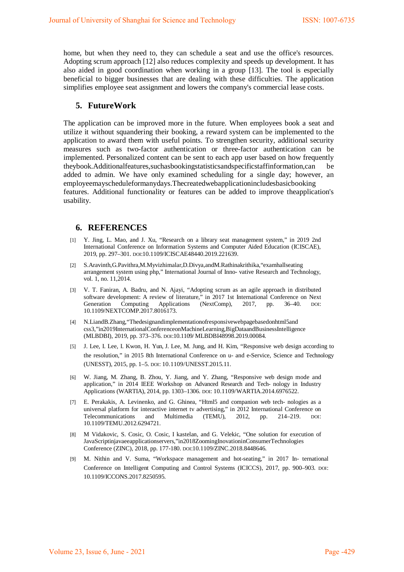home, but when they need to, they can schedule a seat and use the office's resources. Adopting scrum approach [12] also reduces complexity and speeds up development. It has also aided in good coordination when working in a group [13]. The tool is especially beneficial to bigger businesses that are dealing with these difficulties. The application simplifies employee seat assignment and lowers the company's commercial lease costs.

### **5. FutureWork**

The application can be improved more in the future. When employees book a seat and utilize it without squandering their booking, a reward system can be implemented to the application to award them with useful points. To strengthen security, additional security measures such as two-factor authentication or three-factor authentication can be implemented. Personalized content can be sent to each app user based on how frequently theybook.Additionalfeatures,suchasbookingstatisticsandspecificstaffinformation,can be added to admin. We have only examined scheduling for a single day; however, an employeemayscheduleformanydays.Thecreatedwebapplicationincludesbasicbooking features. Additional functionality or features can be added to improve theapplication's usability.

#### **6. REFERENCES**

- [1] Y. Jing, L. Mao, and J. Xu, "Research on a library seat management system," in 2019 2nd International Conference on Information Systems and Computer Aided Education (ICISCAE), 2019, pp. 297–301. DOI[:10.1109/ICISCAE48440.2019.221639.](https://doi.org/10.1109/ICISCAE48440.2019.221639)
- [2] S.Aravinth,G.Pavithra,M.Myvizhimalar,D.Divya,andM.Rathinakrithika,"examhallseating arrangement system using php," International Journal of Inno- vative Research and Technology, vol. 1, no. 11,2014.
- [3] V. T. Faniran, A. Badru, and N. Ajayi, "Adopting scrum as an agile approach in distributed software development: A review of literature," in 2017 1st International Conference on Next<br>Generation Computing Applications (NextComp), 2017, pp. 36–40. DOI: Generation Computing Applications (NextComp), 2017, pp. 36–40. DOI[:](https://doi.org/10.1109/NEXTCOMP.2017.8016173) [10.1109/NEXTCOMP.2017.8016173.](https://doi.org/10.1109/NEXTCOMP.2017.8016173)
- [4] N.LiandB.Zhang,"Thedesignandimplementationofresponsivewebpagebasedonhtml5and css3,"in2019InternationalConferenceonMachineLearning,BigDataandBusinessIntelligence (MLBDBI), 2019, pp. 373–376. DOI[:10.1109/ MLBDBI48998.2019.00084.](https://doi.org/10.1109/MLBDBI48998.2019.00084)
- [5] J. Lee, I. Lee, I. Kwon, H. Yun, J. Lee, M. Jung, and H. Kim, "Responsive web design according to the resolution," in 2015 8th International Conference on u- and e-Service, Science and Technology (UNESST), 2015, pp. 1–5. DOI[: 10.1109/UNESST.2015.11.](https://doi.org/10.1109/UNESST.2015.11)
- [6] W. Jiang, M. Zhang, B. Zhou, Y. Jiang, and Y. Zhang, "Responsive web design mode and application," in 2014 IEEE Workshop on Advanced Research and Tech- nology in Industry Applications (WARTIA), 2014, pp. 1303–1306. DOI: [10.1109/WARTIA.2014.6976522.](https://doi.org/10.1109/WARTIA.2014.6976522)
- [7] E. Perakakis, A. Levinenko, and G. Ghinea, "Html5 and companion web tech- nologies as a universal platform for interactive internet tv advertising," in 2012 International Conference on Telecommunications and Multimedia (TEMU), 2012, pp. 214–219. DOI: Telecommunications and Multimedia (TEMU), 2012, pp. 214–219. DOI[:](https://doi.org/10.1109/TEMU.2012.6294721) [10.1109/TEMU.2012.6294721.](https://doi.org/10.1109/TEMU.2012.6294721)
- [8] M Vidakovic, S. Cosic, O. Cosic, I kastelan, and G. Velekic, "One solution for execution of JavaScriptinjavaeeapplicationservers,"in2018ZoomingInovationinConsumerTechnologies Conference (ZINC), 2018, pp. 177-180. DOI[:10.1109/ZINC.2018.8448646.](https://doi.org/10.1109/TEMU.2012.6294721)
- [9] M. Nithin and V. Suma, "Workspace management and hot-seating," in 2017 In- ternational Conference on Intelligent Computing and Control Systems (ICICCS), 2017, pp. 900–903. DOI[:](https://doi.org/10.1109/ICCONS.2017.8250595) [10.1109/ICCONS.2017.8250595.](https://doi.org/10.1109/ICCONS.2017.8250595)